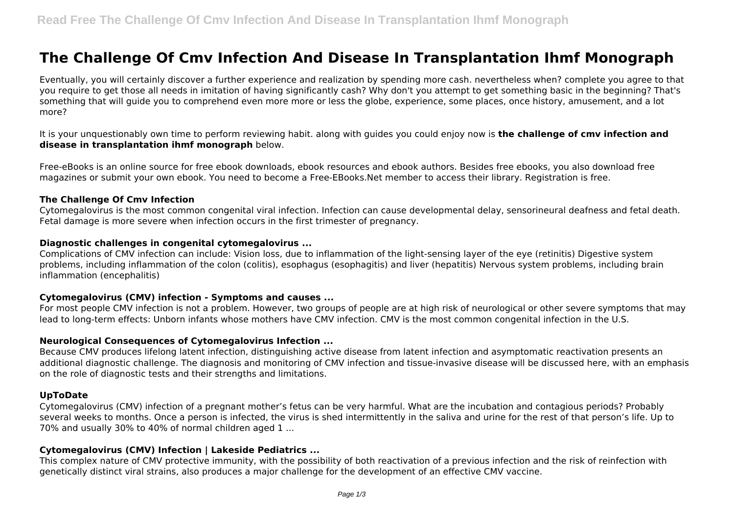# **The Challenge Of Cmv Infection And Disease In Transplantation Ihmf Monograph**

Eventually, you will certainly discover a further experience and realization by spending more cash. nevertheless when? complete you agree to that you require to get those all needs in imitation of having significantly cash? Why don't you attempt to get something basic in the beginning? That's something that will guide you to comprehend even more more or less the globe, experience, some places, once history, amusement, and a lot more?

It is your unquestionably own time to perform reviewing habit. along with guides you could enjoy now is **the challenge of cmv infection and disease in transplantation ihmf monograph** below.

Free-eBooks is an online source for free ebook downloads, ebook resources and ebook authors. Besides free ebooks, you also download free magazines or submit your own ebook. You need to become a Free-EBooks.Net member to access their library. Registration is free.

#### **The Challenge Of Cmv Infection**

Cytomegalovirus is the most common congenital viral infection. Infection can cause developmental delay, sensorineural deafness and fetal death. Fetal damage is more severe when infection occurs in the first trimester of pregnancy.

#### **Diagnostic challenges in congenital cytomegalovirus ...**

Complications of CMV infection can include: Vision loss, due to inflammation of the light-sensing layer of the eye (retinitis) Digestive system problems, including inflammation of the colon (colitis), esophagus (esophagitis) and liver (hepatitis) Nervous system problems, including brain inflammation (encephalitis)

## **Cytomegalovirus (CMV) infection - Symptoms and causes ...**

For most people CMV infection is not a problem. However, two groups of people are at high risk of neurological or other severe symptoms that may lead to long-term effects: Unborn infants whose mothers have CMV infection. CMV is the most common congenital infection in the U.S.

## **Neurological Consequences of Cytomegalovirus Infection ...**

Because CMV produces lifelong latent infection, distinguishing active disease from latent infection and asymptomatic reactivation presents an additional diagnostic challenge. The diagnosis and monitoring of CMV infection and tissue-invasive disease will be discussed here, with an emphasis on the role of diagnostic tests and their strengths and limitations.

## **UpToDate**

Cytomegalovirus (CMV) infection of a pregnant mother's fetus can be very harmful. What are the incubation and contagious periods? Probably several weeks to months. Once a person is infected, the virus is shed intermittently in the saliva and urine for the rest of that person's life. Up to 70% and usually 30% to 40% of normal children aged 1 ...

## **Cytomegalovirus (CMV) Infection | Lakeside Pediatrics ...**

This complex nature of CMV protective immunity, with the possibility of both reactivation of a previous infection and the risk of reinfection with genetically distinct viral strains, also produces a major challenge for the development of an effective CMV vaccine.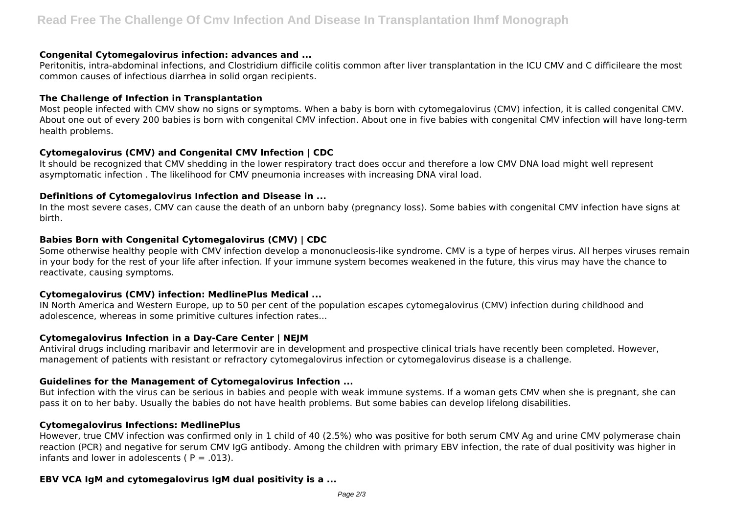#### **Congenital Cytomegalovirus infection: advances and ...**

Peritonitis, intra‐abdominal infections, and Clostridium difficile colitis common after liver transplantation in the ICU CMV and C difficileare the most common causes of infectious diarrhea in solid organ recipients.

#### **The Challenge of Infection in Transplantation**

Most people infected with CMV show no signs or symptoms. When a baby is born with cytomegalovirus (CMV) infection, it is called congenital CMV. About one out of every 200 babies is born with congenital CMV infection. About one in five babies with congenital CMV infection will have long-term health problems.

## **Cytomegalovirus (CMV) and Congenital CMV Infection | CDC**

It should be recognized that CMV shedding in the lower respiratory tract does occur and therefore a low CMV DNA load might well represent asymptomatic infection . The likelihood for CMV pneumonia increases with increasing DNA viral load.

## **Definitions of Cytomegalovirus Infection and Disease in ...**

In the most severe cases, CMV can cause the death of an unborn baby (pregnancy loss). Some babies with congenital CMV infection have signs at birth.

# **Babies Born with Congenital Cytomegalovirus (CMV) | CDC**

Some otherwise healthy people with CMV infection develop a mononucleosis-like syndrome. CMV is a type of herpes virus. All herpes viruses remain in your body for the rest of your life after infection. If your immune system becomes weakened in the future, this virus may have the chance to reactivate, causing symptoms.

# **Cytomegalovirus (CMV) infection: MedlinePlus Medical ...**

IN North America and Western Europe, up to 50 per cent of the population escapes cytomegalovirus (CMV) infection during childhood and adolescence, whereas in some primitive cultures infection rates...

## **Cytomegalovirus Infection in a Day-Care Center | NEJM**

Antiviral drugs including maribavir and letermovir are in development and prospective clinical trials have recently been completed. However, management of patients with resistant or refractory cytomegalovirus infection or cytomegalovirus disease is a challenge.

## **Guidelines for the Management of Cytomegalovirus Infection ...**

But infection with the virus can be serious in babies and people with weak immune systems. If a woman gets CMV when she is pregnant, she can pass it on to her baby. Usually the babies do not have health problems. But some babies can develop lifelong disabilities.

# **Cytomegalovirus Infections: MedlinePlus**

However, true CMV infection was confirmed only in 1 child of 40 (2.5%) who was positive for both serum CMV Ag and urine CMV polymerase chain reaction (PCR) and negative for serum CMV IgG antibody. Among the children with primary EBV infection, the rate of dual positivity was higher in infants and lower in adolescents ( $P = .013$ ).

# **EBV VCA IgM and cytomegalovirus IgM dual positivity is a ...**